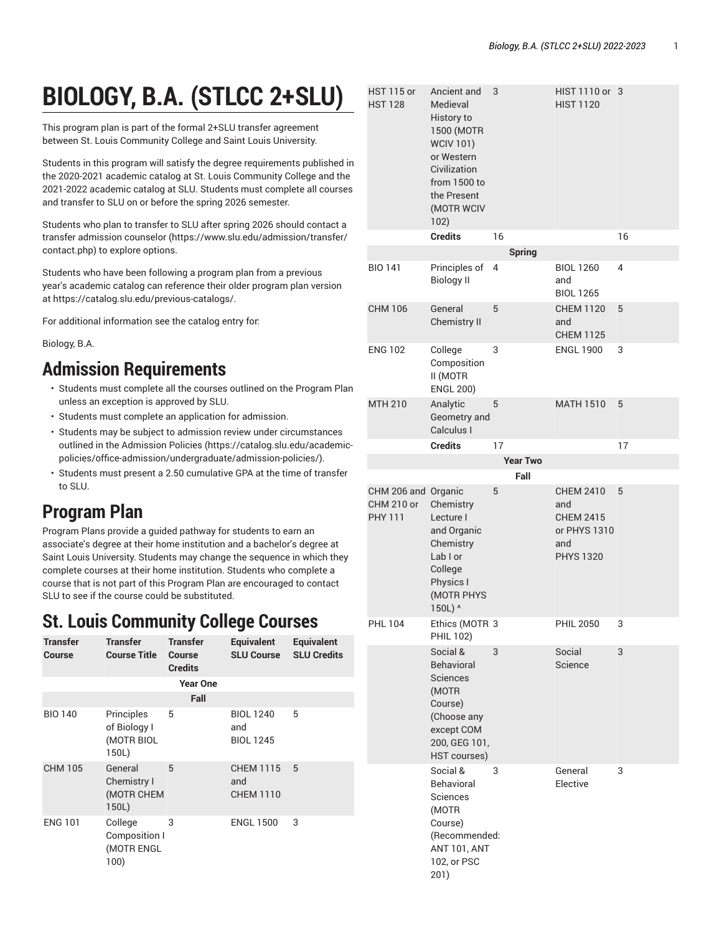# **BIOLOGY, B.A. (STLCC 2+SLU)**

This program plan is part of the formal 2+SLU transfer agreement between St. Louis Community College and Saint Louis University.

Students in this program will satisfy the degree requirements published in the 2020-2021 academic catalog at St. Louis Community College and the 2021-2022 academic catalog at SLU. Students must complete all courses and transfer to SLU on or before the spring 2026 semester.

Students who plan to transfer to SLU after spring 2026 should [contact a](https://www.slu.edu/admission/transfer/contact.php) transfer [admission](https://www.slu.edu/admission/transfer/contact.php) counselor ([https://www.slu.edu/admission/transfer/](https://www.slu.edu/admission/transfer/contact.php) [contact.php](https://www.slu.edu/admission/transfer/contact.php)) to explore options.

Students who have been following a program plan from a previous year's academic catalog can reference their older program plan version at<https://catalog.slu.edu/previous-catalogs/>.

For additional information see the catalog entry for:

Biology, B.A.

### **Admission Requirements**

- Students must complete all the courses outlined on the Program Plan unless an exception is approved by SLU.
- Students must complete an application for admission.
- Students may be subject to admission review under circumstances outlined in the [Admission](https://catalog.slu.edu/academic-policies/office-admission/undergraduate/admission-policies/) Policies [\(https://catalog.slu.edu/academic](https://catalog.slu.edu/academic-policies/office-admission/undergraduate/admission-policies/)[policies/office-admission/undergraduate/admission-policies/\)](https://catalog.slu.edu/academic-policies/office-admission/undergraduate/admission-policies/).
- Students must present a 2.50 cumulative GPA at the time of transfer to SLU.

## **Program Plan**

Program Plans provide a guided pathway for students to earn an associate's degree at their home institution and a bachelor's degree at Saint Louis University. Students may change the sequence in which they complete courses at their home institution. Students who complete a course that is not part of this Program Plan are encouraged to contact SLU to see if the course could be substituted.

### **St. Louis Community College Courses**

| <b>Transfer</b><br><b>Course</b> | <b>Transfer</b><br><b>Course Title</b>            | <b>Transfer</b><br>Course<br><b>Credits</b> | <b>Equivalent</b><br><b>SLU Course</b>      | <b>Equivalent</b><br><b>SLU Credits</b> |  |
|----------------------------------|---------------------------------------------------|---------------------------------------------|---------------------------------------------|-----------------------------------------|--|
|                                  |                                                   | <b>Year One</b>                             |                                             |                                         |  |
|                                  | Fall                                              |                                             |                                             |                                         |  |
| <b>BIO 140</b>                   | Principles<br>of Biology I<br>(MOTR BIOL<br>150L) | 5                                           | <b>BIOL 1240</b><br>and<br><b>BIOL 1245</b> | 5                                       |  |
| <b>CHM 105</b>                   | General<br>Chemistry I<br>(MOTR CHEM<br>150L)     | 5                                           | <b>CHEM 1115</b><br>and<br><b>CHEM 1110</b> | 5                                       |  |
| <b>ENG 101</b>                   | College<br>Composition I<br>(MOTR ENGL<br>100)    | 3                                           | <b>ENGL 1500</b>                            | 3                                       |  |

| <b>HST 115 or</b><br><b>HST 128</b>                        | Ancient and<br>Medieval<br>History to<br>1500 (MOTR<br><b>WCIV 101)</b><br>or Western<br>Civilization<br>from 1500 to<br>the Present<br>(MOTR WCIV<br>102) | 3  |                 | HIST 1110 or 3<br><b>HIST 1120</b>                                                     |    |
|------------------------------------------------------------|------------------------------------------------------------------------------------------------------------------------------------------------------------|----|-----------------|----------------------------------------------------------------------------------------|----|
|                                                            | <b>Credits</b>                                                                                                                                             | 16 |                 |                                                                                        | 16 |
|                                                            |                                                                                                                                                            |    | <b>Spring</b>   |                                                                                        |    |
| <b>BIO 141</b>                                             | Principles of<br><b>Biology II</b>                                                                                                                         | 4  |                 | <b>BIOL 1260</b><br>and<br><b>BIOL 1265</b>                                            | 4  |
| <b>CHM 106</b>                                             | General<br><b>Chemistry II</b>                                                                                                                             | 5  |                 | <b>CHEM 1120</b><br>and<br><b>CHEM 1125</b>                                            | 5  |
| <b>ENG 102</b>                                             | College<br>Composition<br>II (MOTR<br><b>ENGL 200)</b>                                                                                                     | 3  |                 | <b>ENGL 1900</b>                                                                       | 3  |
| <b>MTH 210</b>                                             | Analytic<br>Geometry and<br>Calculus I                                                                                                                     | 5  |                 | <b>MATH 1510</b>                                                                       | 5  |
|                                                            | <b>Credits</b>                                                                                                                                             | 17 |                 |                                                                                        | 17 |
|                                                            |                                                                                                                                                            |    | <b>Year Two</b> |                                                                                        |    |
|                                                            |                                                                                                                                                            |    | Fall            |                                                                                        |    |
| CHM 206 and Organic<br><b>CHM 210 or</b><br><b>PHY 111</b> | Chemistry<br>Lecture I<br>and Organic<br>Chemistry<br>Lab I or<br>College<br>Physics I<br>(MOTR PHYS<br>150L) ^                                            | 5  |                 | <b>CHEM 2410</b><br>and<br><b>CHEM 2415</b><br>or PHYS 1310<br>and<br><b>PHYS 1320</b> | 5  |
| <b>PHL 104</b>                                             | Ethics (MOTR 3<br>PHIL 102)                                                                                                                                |    |                 | <b>PHIL 2050</b>                                                                       | 3  |
|                                                            | Social &<br>Behavioral<br><b>Sciences</b><br>(MOTR<br>Course)<br>(Choose any<br>except COM<br>200, GEG 101,<br>HST courses)                                | 3  |                 | Social<br>Science                                                                      | 3  |
|                                                            | Social &<br>Behavioral<br>Sciences<br>(MOTR<br>Course)<br>(Recommended:<br><b>ANT 101, ANT</b><br>102, or PSC<br>201)                                      | 3  |                 | General<br>Elective                                                                    | 3  |